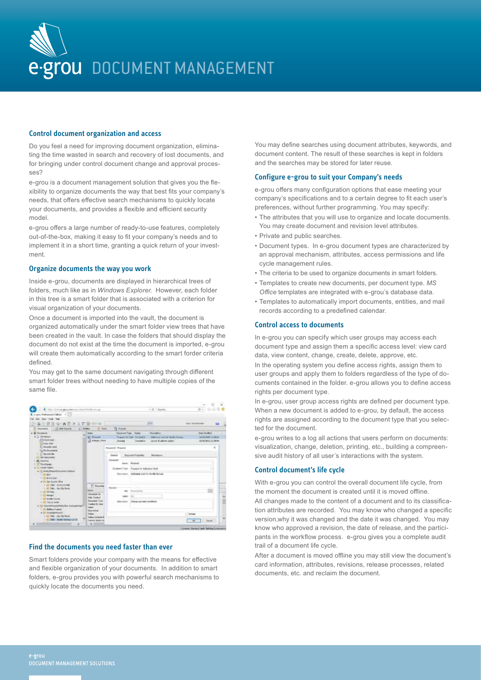

#### **Control document organization and access**

Do you feel a need for improving document organization, eliminating the time wasted in search and recovery of lost documents, and for bringing under control document change and approval processes?

e-grou is a document management solution that gives you the flexibility to organize documents the way that best fits your company's needs, that offers effective search mechanisms to quickly locate your documents, and provides a flexible and efficient security model.

e-grou offers a large number of ready-to-use features, completely out-of-the-box, making it easy to fit your company's needs and to implement it in a short time, granting a quick return of your investment.

#### **Organize documents the way you work**

Inside e-grou, documents are displayed in hierarchical trees of folders, much like as in *Windows Explorer*. However, each folder in this tree is a smart folder that is associated with a criterion for visual organization of your documents.

Once a document is imported into the vault, the document is organized automatically under the smart folder view trees that have been created in the vault. In case the folders that should display the document do not exist at the time the document is imported, e-grou will create them automatically according to the smart forder criteria defined.

You may get to the same document navigating through different smart folder trees without needing to have multiple copies of the same file.

| D. 最高质量与:再图次及数是W-W<br>5 Secrets 11 N/Force 11 Edge 5 Take<br><b>Baker</b><br>W. Proced<br>L3 knock from                                              | w<br><b>TE FORM</b><br><b>Bookwort Track - Branch</b><br><b>Business</b><br><b>Total Fockfield</b><br>Addressed was the World, Assume<br>Fogura ha sale. Thornad is<br>142903440-11-0010<br>Linded of address viation<br><b>Chained In</b><br>19/012913 01:06:44<br>Distant<br><b>Season Rooms</b><br>Gentle - Electronic Proportion<br><b>Paintering</b> | <b>Call</b>                  |
|------------------------------------------------------------------------------------------------------------------------------------------------------|-----------------------------------------------------------------------------------------------------------------------------------------------------------------------------------------------------------------------------------------------------------------------------------------------------------------------------------------------------------|------------------------------|
|                                                                                                                                                      |                                                                                                                                                                                                                                                                                                                                                           |                              |
|                                                                                                                                                      |                                                                                                                                                                                                                                                                                                                                                           |                              |
|                                                                                                                                                      | <b>Phoenixed</b><br>Downer Class Thought for Internal Mark<br>Barchelor, Address out for foolic School                                                                                                                                                                                                                                                    |                              |
| <sup>27</sup> Post Rd<br><b>Service</b><br><b>Incorporate</b><br><b>SALOWED</b><br><b>Bearers</b> Type<br>Dealer Bridge<br><b>Sight</b><br>Business. | <b>Property &amp; Ave</b><br>1444 723<br>Cherge painted conditions<br>Deal color:                                                                                                                                                                                                                                                                         | 81.18                        |
|                                                                                                                                                      | <b>Tighet</b><br><b>United Statement &amp;</b><br>Lend base la<br>C1                                                                                                                                                                                                                                                                                      | <b>TENANT</b><br>of the bear |

# **Find the documents you need faster than ever**

Smart folders provide your company with the means for effective and flexible organization of your documents. In addition to smart folders, e-grou provides you with powerful search mechanisms to quickly locate the documents you need.

You may define searches using document attributes, keywords, and document content. The result of these searches is kept in folders and the searches may be stored for later reuse.

### **Configure e-grou to suit your Company's needs**

e-grou offers many configuration options that ease meeting your company's specifications and to a certain degree to fit each user's preferences, without further programming. You may specify:

- The attributes that you will use to organize and locate documents. You may create document and revision level attributes.
- Private and public searches.
- Document types. In e-grou document types are characterized by an approval mechanism, attributes, access permissions and life cycle management rules.
- The criteria to be used to organize documents in smart folders.
- Templates to create new documents, per document type. *MS Office* templates are integrated with e-grou´s database data.
- Templates to automatically import documents, entities, and mail records according to a predefined calendar.

## **Control access to documents**

In e-grou you can specify which user groups may access each document type and assign them a specific access level: view card data, view content, change, create, delete, approve, etc.

In the operating system you define access rights, assign them to user groups and apply them to folders regardless of the type of documents contained in the folder. e-grou allows you to define access rights per document type.

In e-grou, user group access rights are defined per document type. When a new document is added to e-grou, by default, the access rights are assigned according to the document type that you selected for the document.

e-grou writes to a log all actions that users perform on documents: visualization, change, deletion, printing, etc., building a compreensive audit history of all user´s interactions with the system.

## **Control document's life cycle**

With e-grou you can control the overall document life cycle, from the moment the document is created until it is moved offline.

All changes made to the content of a document and to its classification attributes are recorded. You may know who changed a specific version,why it was changed and the date it was changed. You may know who approved a revision, the date of release, and the participants in the workflow process. e-grou gives you a complete audit trail of a document life cycle.

After a document is moved offline you may still view the document's card information, attributes, revisions, release processes, related documents, etc. and reclaim the document.